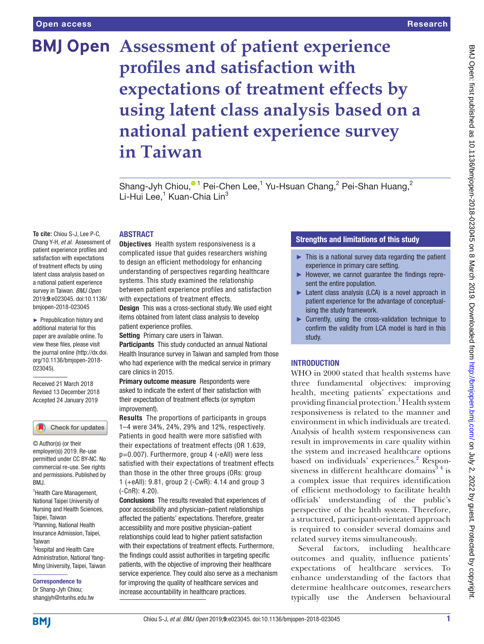# **BMJ Open Assessment of patient experience profiles and satisfaction with expectations of treatment effects by using latent class analysis based on a national patient experience survey in Taiwan**

Shang-JyhChiou,<sup>® 1</sup> Pei-Chen Lee,<sup>1</sup> Yu-Hsuan Chang,<sup>2</sup> Pei-Shan Huang,<sup>2</sup> Li-Hui Lee,<sup>1</sup> Kuan-Chia Lin<sup>3</sup>

## **ABSTRACT**

**To cite:** Chiou S-J, Lee P-C, Chang Y-H, *et al*. Assessment of patient experience profiles and satisfaction with expectations of treatment effects by using latent class analysis based on a national patient experience survey in Taiwan. *BMJ Open* 2019;9:e023045. doi:10.1136/ bmjopen-2018-023045

► Prepublication history and additional material for this paper are available online. To view these files, please visit the journal online [\(http://dx.doi.](http://dx.doi.org/10.1136/bmjopen-2018-023045) [org/10.1136/bmjopen-2018-](http://dx.doi.org/10.1136/bmjopen-2018-023045) [023045\)](http://dx.doi.org/10.1136/bmjopen-2018-023045).

Received 21 March 2018 Revised 13 December 2018 Accepted 24 January 2019

#### Check for updates

© Author(s) (or their employer(s)) 2019. Re-use permitted under CC BY-NC. No commercial re-use. See rights and permissions. Published by RM<sub>J</sub>

<sup>1</sup> Health Care Management, National Taipei University of Nursing and Health Sciences, Taipei, Taiwan <sup>2</sup>Planning, National Health Insurance Admission, Taipei,

Taiwan <sup>3</sup>Hospital and Health Care Administration, National Yang-Ming University, Taipei, Taiwan

Correspondence to

Dr Shang-Jyh Chiou; shangjyh@ntunhs.edu.tw **Objectives** Health system responsiveness is a complicated issue that guides researchers wishing to design an efficient methodology for enhancing understanding of perspectives regarding healthcare systems. This study examined the relationship between patient experience profiles and satisfaction with expectations of treatment effects.

**Design** This was a cross-sectional study. We used eight items obtained from latent class analysis to develop patient experience profiles.

Setting Primary care users in Taiwan.

Participants This study conducted an annual National Health Insurance survey in Taiwan and sampled from those who had experience with the medical service in primary care clinics in 2015.

**Primary outcome measure** Respondents were asked to indicate the extent of their satisfaction with their expectation of treatment effects (or symptom improvement).

Results The proportions of participants in groups 1–4 were 34%, 24%, 29% and 12%, respectively. Patients in good health were more satisfied with their expectations of treatment effects (OR 1.639, p=0.007). Furthermore, group 4 (-eAll) were less satisfied with their expectations of treatment effects than those in the other three groups (ORs: group 1 (+eAll): 9.81, group 2 (-CwR): 4.14 and group 3 (-CnR): 4.20).

Conclusions The results revealed that experiences of poor accessibility and physician–patient relationships affected the patients' expectations. Therefore, greater accessibility and more positive physician–patient relationships could lead to higher patient satisfaction with their expectations of treatment effects. Furthermore, the findings could assist authorities in targeting specific patients, with the objective of improving their healthcare service experience. They could also serve as a mechanism for improving the quality of healthcare services and increase accountability in healthcare practices.

# Strengths and limitations of this study

- ► This is a national survey data regarding the patient experience in primary care setting.
- ► However, we cannot guarantee the findings represent the entire population.
- ► Latent class analysis (LCA) is a novel approach in patient experience for the advantage of conceptualising the study framework.
- ► Currently, using the cross-validation technique to confirm the validity from LCA model is hard in this study.

## **INTRODUCTION**

WHO in 2000 stated that health systems have three fundamental objectives: improving health, meeting patients' expectations and providing financial protection.<sup>[1](#page-7-0)</sup> Health system responsiveness is related to the manner and environment in which individuals are treated. Analysis of health system responsiveness can result in improvements in care quality within the system and increased healthcare options based on individuals' experiences.<sup>[2](#page-7-1)</sup> Responsiveness in different healthcare domains $3<sup>3</sup>$  is a complex issue that requires identification of efficient methodology to facilitate health officials' understanding of the public's perspective of the health system. Therefore, a structured, participant-orientated approach is required to consider several domains and related survey items simultaneously.

Several factors, including healthcare outcomes and quality, influence patients' expectations of healthcare services. To enhance understanding of the factors that determine healthcare outcomes, researchers typically use the Andersen behavioural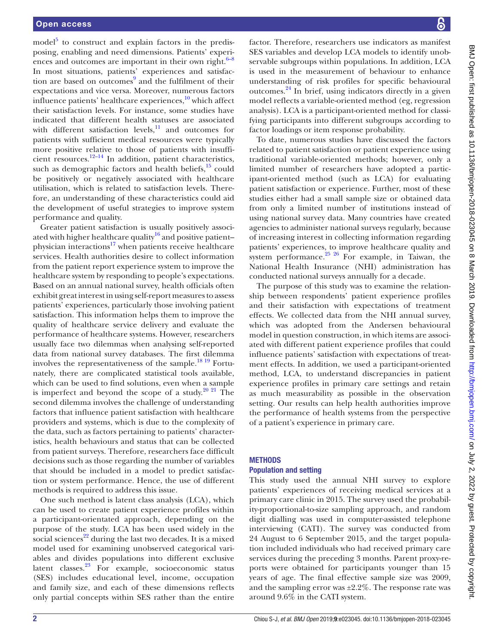model<sup>5</sup> to construct and explain factors in the predisposing, enabling and need dimensions. Patients' experiences and outcomes are important in their own right. $6-8$ In most situations, patients' experiences and satisfac-tion are based on outcomes<sup>[9](#page-7-5)</sup> and the fulfilment of their expectations and vice versa. Moreover, numerous factors influence patients' healthcare experiences, $^{10}$  which affect their satisfaction levels. For instance, some studies have indicated that different health statuses are associated with different satisfaction levels, $\frac{11}{11}$  and outcomes for patients with sufficient medical resources were typically more positive relative to those of patients with insufficient resources. $12-14$  In addition, patient characteristics, such as demographic factors and health beliefs, $\frac{15}{15}$  could be positively or negatively associated with healthcare utilisation, which is related to satisfaction levels. Therefore, an understanding of these characteristics could aid the development of useful strategies to improve system performance and quality.

Greater patient satisfaction is usually positively associated with higher healthcare quality<sup>16</sup> and positive patient– physician interactions $17$  when patients receive healthcare services. Health authorities desire to collect information from the patient report experience system to improve the healthcare system by responding to people's expectations. Based on an annual national survey, health officials often exhibit great interest in using self-report measures to assess patients' experiences, particularly those involving patient satisfaction. This information helps them to improve the quality of healthcare service delivery and evaluate the performance of healthcare systems. However, researchers usually face two dilemmas when analysing self-reported data from national survey databases. The first dilemma involves the representativeness of the sample. $^{18}$  19 Fortunately, there are complicated statistical tools available, which can be used to find solutions, even when a sample is imperfect and beyond the scope of a study. $20\frac{21}{1}$  The second dilemma involves the challenge of understanding factors that influence patient satisfaction with healthcare providers and systems, which is due to the complexity of the data, such as factors pertaining to patients' characteristics, health behaviours and status that can be collected from patient surveys. Therefore, researchers face difficult decisions such as those regarding the number of variables that should be included in a model to predict satisfaction or system performance. Hence, the use of different methods is required to address this issue.

One such method is latent class analysis (LCA), which can be used to create patient experience profiles within a participant-orientated approach, depending on the purpose of the study. LCA has been used widely in the social sciences $^{22}$  during the last two decades. It is a mixed model used for examining unobserved categorical variables and divides populations into different exclusive latent classes[.23](#page-7-15) For example, socioeconomic status (SES) includes educational level, income, occupation and family size, and each of these dimensions reflects only partial concepts within SES rather than the entire

factor. Therefore, researchers use indicators as manifest SES variables and develop LCA models to identify unobservable subgroups within populations. In addition, LCA is used in the measurement of behaviour to enhance understanding of risk profiles for specific behavioural outcomes[.24](#page-7-16) In brief, using indicators directly in a given model reflects a variable-oriented method (eg, regression analysis). LCA is a participant-oriented method for classifying participants into different subgroups according to factor loadings or item response probability.

To date, numerous studies have discussed the factors related to patient satisfaction or patient experience using traditional variable-oriented methods; however, only a limited number of researchers have adopted a participant-oriented method (such as LCA) for evaluating patient satisfaction or experience. Further, most of these studies either had a small sample size or obtained data from only a limited number of institutions instead of using national survey data. Many countries have created agencies to administer national surveys regularly, because of increasing interest in collecting information regarding patients' experiences, to improve healthcare quality and system performance. $25 \times 26$  For example, in Taiwan, the National Health Insurance (NHI) administration has conducted national surveys annually for a decade.

The purpose of this study was to examine the relationship between respondents' patient experience profiles and their satisfaction with expectations of treatment effects. We collected data from the NHI annual survey, which was adopted from the Andersen behavioural model in question construction, in which items are associated with different patient experience profiles that could influence patients' satisfaction with expectations of treatment effects. In addition, we used a participant-oriented method, LCA, to understand discrepancies in patient experience profiles in primary care settings and retain as much measurability as possible in the observation setting. Our results can help health authorities improve the performance of health systems from the perspective of a patient's experience in primary care.

# **METHODS**

# Population and setting

This study used the annual NHI survey to explore patients' experiences of receiving medical services at a primary care clinic in 2015. The survey used the probability-proportional-to-size sampling approach, and random digit dialling was used in computer-assisted telephone interviewing (CATI). The survey was conducted from 24 August to 6 September 2015, and the target population included individuals who had received primary care services during the preceding 3 months. Parent proxy-reports were obtained for participants younger than 15 years of age. The final effective sample size was 2009, and the sampling error was  $\pm 2.2\%$ . The response rate was around 9.6% in the CATI system.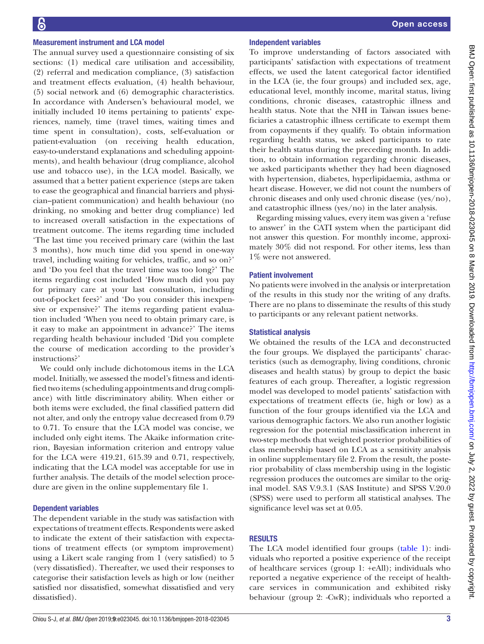## Measurement instrument and LCA model

The annual survey used a questionnaire consisting of six sections: (1) medical care utilisation and accessibility, (2) referral and medication compliance, (3) satisfaction and treatment effects evaluation, (4) health behaviour, (5) social network and (6) demographic characteristics. In accordance with Andersen's behavioural model, we initially included 10 items pertaining to patients' experiences, namely, time (travel times, waiting times and time spent in consultation), costs, self-evaluation or patient-evaluation (on receiving health education, easy-to-understand explanations and scheduling appointments), and health behaviour (drug compliance, alcohol use and tobacco use), in the LCA model. Basically, we assumed that a better patient experience (steps are taken to ease the geographical and financial barriers and physician–patient communication) and health behaviour (no drinking, no smoking and better drug compliance) led to increased overall satisfaction in the expectations of treatment outcome. The items regarding time included 'The last time you received primary care (within the last 3 months), how much time did you spend in one-way travel, including waiting for vehicles, traffic, and so on?' and 'Do you feel that the travel time was too long?' The items regarding cost included 'How much did you pay for primary care at your last consultation, including out-of-pocket fees?' and 'Do you consider this inexpensive or expensive?' The items regarding patient evaluation included 'When you need to obtain primary care, is it easy to make an appointment in advance?' The items regarding health behaviour included 'Did you complete the course of medication according to the provider's instructions?'

We could only include dichotomous items in the LCA model. Initially, we assessed the model's fitness and identified two items (scheduling appointments and drug compliance) with little discriminatory ability. When either or both items were excluded, the final classified pattern did not alter, and only the entropy value decreased from 0.79 to 0.71. To ensure that the LCA model was concise, we included only eight items. The Akaike information criterion, Bayesian information criterion and entropy value for the LCA were 419.21, 615.39 and 0.71, respectively, indicating that the LCA model was acceptable for use in further analysis. The details of the model selection procedure are given in the online [supplementary file 1.](https://dx.doi.org/10.1136/bmjopen-2018-023045)

#### Dependent variables

The dependent variable in the study was satisfaction with expectations of treatment effects. Respondents were asked to indicate the extent of their satisfaction with expectations of treatment effects (or symptom improvement) using a Likert scale ranging from 1 (very satisfied) to 5 (very dissatisfied). Thereafter, we used their responses to categorise their satisfaction levels as high or low (neither satisfied nor dissatisfied, somewhat dissatisfied and very dissatisfied).

#### Independent variables

To improve understanding of factors associated with participants' satisfaction with expectations of treatment effects, we used the latent categorical factor identified in the LCA (ie, the four groups) and included sex, age, educational level, monthly income, marital status, living conditions, chronic diseases, catastrophic illness and health status. Note that the NHI in Taiwan issues beneficiaries a catastrophic illness certificate to exempt them from copayments if they qualify. To obtain information regarding health status, we asked participants to rate their health status during the preceding month. In addition, to obtain information regarding chronic diseases, we asked participants whether they had been diagnosed with hypertension, diabetes, hyperlipidaemia, asthma or heart disease. However, we did not count the numbers of chronic diseases and only used chronic disease (yes/no), and catastrophic illness (yes/no) in the later analysis.

Regarding missing values, every item was given a 'refuse to answer' in the CATI system when the participant did not answer this question. For monthly income, approximately 30% did not respond. For other items, less than 1% were not answered.

## Patient involvement

No patients were involved in the analysis or interpretation of the results in this study nor the writing of any drafts. There are no plans to disseminate the results of this study to participants or any relevant patient networks.

#### Statistical analysis

We obtained the results of the LCA and deconstructed the four groups. We displayed the participants' characteristics (such as demography, living conditions, chronic diseases and health status) by group to depict the basic features of each group. Thereafter, a logistic regression model was developed to model patients' satisfaction with expectations of treatment effects (ie, high or low) as a function of the four groups identified via the LCA and various demographic factors. We also run another logistic regression for the potential misclassification inherent in two-step methods that weighted posterior probabilities of class membership based on LCA as a sensitivity analysis in online [supplementary file 2.](https://dx.doi.org/10.1136/bmjopen-2018-023045) From the result, the posterior probability of class membership using in the logistic regression produces the outcomes are similar to the original model. SAS V.9.3.1 (SAS Institute) and SPSS V.20.0 (SPSS) were used to perform all statistical analyses. The significance level was set at 0.05.

#### **RESULTS**

The LCA model identified four groups ([table](#page-3-0) 1): individuals who reported a positive experience of the receipt of healthcare services (group 1: +eAll); individuals who reported a negative experience of the receipt of healthcare services in communication and exhibited risky behaviour (group 2: -CwR); individuals who reported a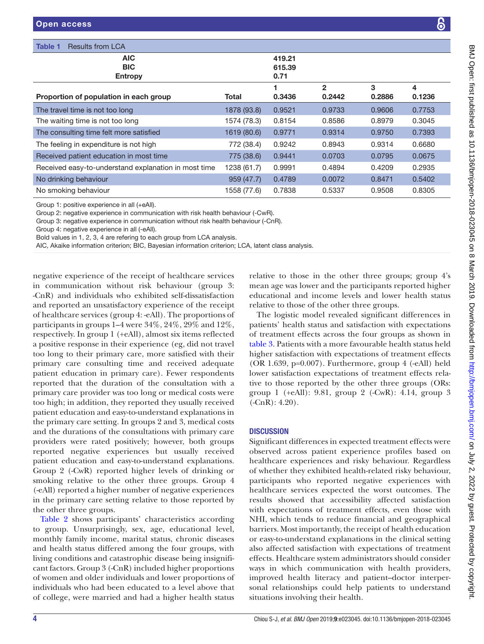<span id="page-3-0"></span>

| <b>Results from LCA</b><br>Table 1                   |             |                          |                          |             |             |  |  |
|------------------------------------------------------|-------------|--------------------------|--------------------------|-------------|-------------|--|--|
| <b>AIC</b><br><b>BIC</b><br><b>Entropy</b>           |             | 419.21<br>615.39<br>0.71 |                          |             |             |  |  |
| Proportion of population in each group               | Total       | 0.3436                   | $\overline{2}$<br>0.2442 | 3<br>0.2886 | 4<br>0.1236 |  |  |
| The travel time is not too long                      | 1878 (93.8) | 0.9521                   | 0.9733                   | 0.9606      | 0.7753      |  |  |
| The waiting time is not too long                     | 1574 (78.3) | 0.8154                   | 0.8586                   | 0.8979      | 0.3045      |  |  |
| The consulting time felt more satisfied              | 1619 (80.6) | 0.9771                   | 0.9314                   | 0.9750      | 0.7393      |  |  |
| The feeling in expenditure is not high               | 772 (38.4)  | 0.9242                   | 0.8943                   | 0.9314      | 0.6680      |  |  |
| Received patient education in most time              | 775 (38.6)  | 0.9441                   | 0.0703                   | 0.0795      | 0.0675      |  |  |
| Received easy-to-understand explanation in most time | 1238 (61.7) | 0.9991                   | 0.4894                   | 0.4209      | 0.2935      |  |  |
| No drinking behaviour                                | 959 (47.7)  | 0.4789                   | 0.0072                   | 0.8471      | 0.5402      |  |  |
| No smoking behaviour                                 | 1558 (77.6) | 0.7838                   | 0.5337                   | 0.9508      | 0.8305      |  |  |

Group 1: positive experience in all (+eAll).

Group 2: negative experience in communication with risk health behaviour (-CwR).

Group 3: negative experience in communication without risk health behaviour (-CnR).

Group 4: negative experience in all (-eAll).

Bold values in 1, 2, 3, 4 are refering to each group from LCA analysis.

AIC, Akaike information criterion; BIC, Bayesian information criterion; LCA, latent class analysis.

negative experience of the receipt of healthcare services in communication without risk behaviour (group 3: -CnR) and individuals who exhibited self-dissatisfaction and reported an unsatisfactory experience of the receipt of healthcare services (group 4: -eAll). The proportions of participants in groups 1–4 were 34%, 24%, 29% and 12%, respectively. In group 1 (+eAll), almost six items reflected a positive response in their experience (eg, did not travel too long to their primary care, more satisfied with their primary care consulting time and received adequate patient education in primary care). Fewer respondents reported that the duration of the consultation with a primary care provider was too long or medical costs were too high; in addition, they reported they usually received patient education and easy-to-understand explanations in the primary care setting. In groups 2 and 3, medical costs and the durations of the consultations with primary care providers were rated positively; however, both groups reported negative experiences but usually received patient education and easy-to-understand explanations. Group 2 (-CwR) reported higher levels of drinking or smoking relative to the other three groups. Group 4 (-eAll) reported a higher number of negative experiences in the primary care setting relative to those reported by the other three groups.

[Table](#page-4-0) 2 shows participants' characteristics according to group. Unsurprisingly, sex, age, educational level, monthly family income, marital status, chronic diseases and health status differed among the four groups, with living conditions and catastrophic disease being insignificant factors. Group 3 (-CnR) included higher proportions of women and older individuals and lower proportions of individuals who had been educated to a level above that of college, were married and had a higher health status

relative to those in the other three groups; group 4's mean age was lower and the participants reported higher educational and income levels and lower health status relative to those of the other three groups.

The logistic model revealed significant differences in patients' health status and satisfaction with expectations of treatment effects across the four groups as shown in [table](#page-5-0) 3. Patients with a more favourable health status held higher satisfaction with expectations of treatment effects  $(OR 1.639, p=0.007)$ . Furthermore, group 4 (-eAll) held lower satisfaction expectations of treatment effects relative to those reported by the other three groups (ORs: group 1 (+eAll): 9.81, group 2 (-CwR): 4.14, group 3  $(-CnR): 4.20$ .

# **DISCUSSION**

Significant differences in expected treatment effects were observed across patient experience profiles based on healthcare experiences and risky behaviour. Regardless of whether they exhibited health-related risky behaviour, participants who reported negative experiences with healthcare services expected the worst outcomes. The results showed that accessibility affected satisfaction with expectations of treatment effects, even those with NHI, which tends to reduce financial and geographical barriers. Most importantly, the receipt of health education or easy-to-understand explanations in the clinical setting also affected satisfaction with expectations of treatment effects. Healthcare system administrators should consider ways in which communication with health providers, improved health literacy and patient–doctor interpersonal relationships could help patients to understand situations involving their health.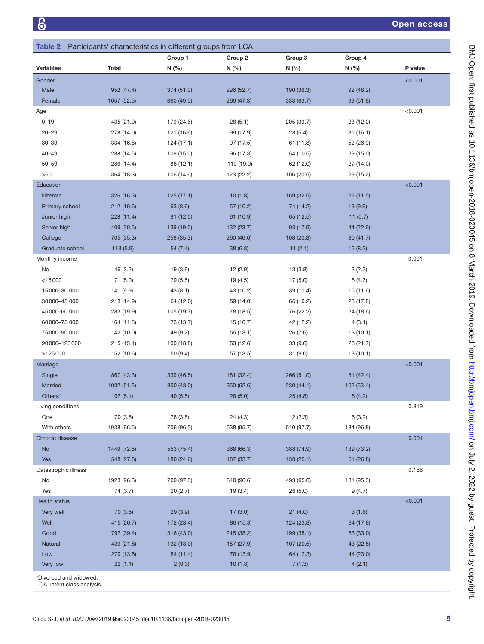<span id="page-4-0"></span>

| Participants' characteristics in different groups from LCA<br>Table 2 |              |            |            |            |            |         |  |
|-----------------------------------------------------------------------|--------------|------------|------------|------------|------------|---------|--|
|                                                                       |              | Group 1    | Group 2    | Group 3    | Group 4    |         |  |
| <b>Variables</b>                                                      | <b>Total</b> | N (%)      | N (%)      | N (%)      | N (%)      | P value |  |
| Gender                                                                |              |            |            |            |            | < 0.001 |  |
| Male                                                                  | 952 (47.4)   | 374 (51.0) | 296 (52.7) | 190 (36.3) | 92(48.2)   |         |  |
| Female                                                                | 1057 (52.6)  | 360 (49.0) | 266 (47.3) | 333 (63.7) | 99 (51.8)  |         |  |
| Age                                                                   |              |            |            |            |            | < 0.001 |  |
| $0 - 19$                                                              | 435 (21.9)   | 179 (24.6) | 28 (5.1)   | 205 (39.7) | 23 (12.0)  |         |  |
| $20 - 29$                                                             | 278 (14.0)   | 121 (16.6) | 99 (17.9)  | 28 (5.4)   | 31(16.1)   |         |  |
| $30 - 39$                                                             | 334 (16.8)   | 124 (17.1) | 97 (17.5)  | 61 (11.8)  | 52 (26.9)  |         |  |
| $40 - 49$                                                             | 288 (14.5)   | 109 (15.0) | 96 (17.3)  | 54 (10.5)  | 29 (15.0)  |         |  |
| $50 - 59$                                                             | 286 (14.4)   | 88 (12.1)  | 110 (19.9) | 62 (12.0)  | 27 (14.0)  |         |  |
| >60                                                                   | 364 (18.3)   | 106 (14.6) | 123 (22.2) | 106 (20.5) | 29 (15.2)  |         |  |
| Education                                                             |              |            |            |            |            | < 0.001 |  |
| <b>Illiterate</b>                                                     | 326(16.3)    | 125 (17.1) | 10(1.8)    | 169 (32.5) | 22(11.5)   |         |  |
| Primary school                                                        | 212(10.6)    | 63 (8.6)   | 57 (10.2)  | 74 (14.2)  | 19 (9.9)   |         |  |
| Junior high                                                           | 228(11.4)    | 91(12.5)   | 61 (10.9)  | 65 (12.5)  | 11(5.7)    |         |  |
| Senior high                                                           | 409 (20.5)   | 139 (19.0) | 132 (23.7) | 93(17.9)   | 44 (22.9)  |         |  |
| College                                                               | 705 (35.3)   | 258 (35.3) | 260 (46.6) | 108(20.8)  | 80 (41.7)  |         |  |
| Graduate school                                                       | 118(5.9)     | 54(7.4)    | 38(6.8)    | 11(2.1)    | 16(8.3)    |         |  |
| Monthly income                                                        |              |            |            |            |            | 0.001   |  |
| No                                                                    | 46 (3.2)     | 19 (3.6)   | 12(2.9)    | 13(3.8)    | 3(2.3)     |         |  |
| $<$ 15000                                                             | 71 (5.0)     | 29(5.5)    | 19 (4.5)   | 17(5.0)    | 6(4.7)     |         |  |
| 15000-30 000                                                          | 141 (9.9)    | 43(8.1)    | 43 (10.2)  | 39 (11.4)  | 15 (11.6)  |         |  |
| 30000-45 000                                                          | 213 (14.9)   | 64 (12.0)  | 59 (14.0)  | 66 (19.2)  | 23 (17.8)  |         |  |
| 45000-60 000                                                          | 283 (19.9)   | 105 (19.7) | 78 (18.5)  | 76 (22.2)  | 24 (18.6)  |         |  |
| 60000-75 000                                                          | 164 (11.5)   | 73 (13.7)  | 45 (10.7)  | 42 (12.2)  | 4 (3.1)    |         |  |
| 75000-90 000                                                          | 142 (10.0)   | 49 (9.2)   | 55 (13.1)  | 26(7.6)    | 13(10.1)   |         |  |
| 90 000 - 125 000                                                      | 215(15.1)    | 100 (18.8) | 53 (12.6)  | 33(9.6)    | 28 (21.7)  |         |  |
| >125000                                                               | 152 (10.6)   | 50 (9.4)   | 57 (13.5)  | 31(9.0)    | 13(10.1)   |         |  |
| Marriage                                                              |              |            |            |            |            | < 0.001 |  |
| Single                                                                | 867 (43.3)   | 339 (46.5) | 181 (32.4) | 266 (51.0) | 81 (42.4)  |         |  |
| Married                                                               | 1032 (51.6)  | 350 (48.0) | 350 (62.6) | 230(44.1)  | 102 (53.4) |         |  |
| Others*                                                               | 102(5.1)     | 40(5.5)    | 28(5.0)    | 25(4.8)    | 8(4.2)     |         |  |
| Living conditions                                                     |              |            |            |            |            | 0.319   |  |
| One                                                                   | 70 (3.5)     | 28 (3.8)   | 24(4.3)    | 12(2.3)    | 6(3.2)     |         |  |
| With others                                                           | 1938 (96.5)  | 706 (96.2) | 538 (95.7) | 510 (97.7) | 184 (96.8) |         |  |
| Chronic disease                                                       |              |            |            |            |            | 0.001   |  |
| No                                                                    | 1449 (72.5)  | 553 (75.4) | 368 (66.3) | 388 (74.9) | 139 (73.2) |         |  |
| <b>Yes</b>                                                            | 548 (27.5)   | 180 (24.6) | 187 (33.7) | 130(25.1)  | 51(26.8)   |         |  |
| Catastrophic illness                                                  |              |            |            |            |            | 0.166   |  |
| No                                                                    | 1923 (96.3)  | 709 (97.3) | 540 (96.6) | 493 (95.0) | 181 (95.3) |         |  |
| Yes                                                                   | 74 (3.7)     | 20(2.7)    | 19 (3.4)   | 26(5.0)    | 9(4.7)     |         |  |
| <b>Health status</b>                                                  |              |            |            |            |            | < 0.001 |  |
| Very well                                                             | 70(3.5)      | 29(3.9)    | 17(3.0)    | 21(4.0)    | 3(1.6)     |         |  |
| Well                                                                  | 415 (20.7)   | 172 (23.4) | 86 (15.3)  | 124 (23.8) | 34 (17.8)  |         |  |
| Good                                                                  | 792 (39.4)   | 316 (43.0) | 215 (38.2) | 199 (38.1) | 63 (33.0)  |         |  |
| Natural                                                               | 439 (21.8)   | 132 (18.0) | 157 (27.9) | 107(20.5)  | 43 (22.5)  |         |  |
| Low                                                                   | 270 (13.5)   | 84 (11.4)  | 78 (13.9)  | 64 (12.3)  | 44 (23.0)  |         |  |
| Very low                                                              | 22(1.1)      | 2(0.3)     | 10(1.8)    | 7(1.3)     | 4(2.1)     |         |  |

\*Divorced and widowed.

LCA, latent class analysis.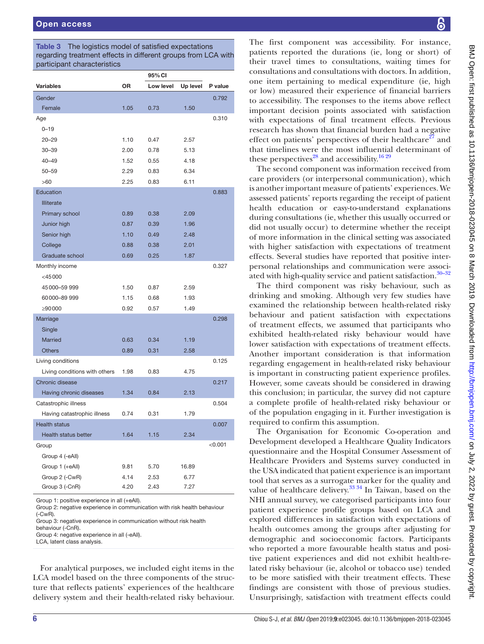<span id="page-5-0"></span>Table 3 The logistics model of satisfied expectations regarding treatment effects in different groups from LCA with participant characteristics

|                               |           | 95% CI    |          |         |
|-------------------------------|-----------|-----------|----------|---------|
| <b>Variables</b>              | <b>OR</b> | Low level | Up level | P value |
| Gender                        |           |           |          | 0.792   |
| Female                        | 1.05      | 0.73      | 1.50     |         |
| Age                           |           |           |          | 0.310   |
| $0 - 19$                      |           |           |          |         |
| $20 - 29$                     | 1.10      | 0.47      | 2.57     |         |
| $30 - 39$                     | 2.00      | 0.78      | 5.13     |         |
| $40 - 49$                     | 1.52      | 0.55      | 4.18     |         |
| $50 - 59$                     | 2.29      | 0.83      | 6.34     |         |
| >60                           | 2.25      | 0.83      | 6.11     |         |
| Education                     |           |           |          | 0.883   |
| <b>Illiterate</b>             |           |           |          |         |
| Primary school                | 0.89      | 0.38      | 2.09     |         |
| Junior high                   | 0.87      | 0.39      | 1.96     |         |
| Senior high                   | 1.10      | 0.49      | 2.48     |         |
| College                       | 0.88      | 0.38      | 2.01     |         |
| Graduate school               | 0.69      | 0.25      | 1.87     |         |
| Monthly income                |           |           |          | 0.327   |
| $<$ 45000                     |           |           |          |         |
| 45000-59 999                  | 1.50      | 0.87      | 2.59     |         |
| 60000-89 999                  | 1.15      | 0.68      | 1.93     |         |
| >90000                        | 0.92      | 0.57      | 1.49     |         |
| Marriage                      |           |           |          | 0.298   |
| Single                        |           |           |          |         |
| Married                       | 0.63      | 0.34      | 1.19     |         |
| <b>Others</b>                 | 0.89      | 0.31      | 2.58     |         |
| Living conditions             |           |           |          | 0.125   |
| Living conditions with others | 1.98      | 0.83      | 4.75     |         |
| Chronic disease               |           |           |          | 0.217   |
| Having chronic diseases       | 1.34      | 0.84      | 2.13     |         |
| Catastrophic illness          |           |           |          | 0.504   |
| Having catastrophic illness   | 0.74      | 0.31      | 1.79     |         |
| <b>Health status</b>          |           |           |          | 0.007   |
| Health status better          | 1.64      | 1.15      | 2.34     |         |
| Group                         |           |           |          | < 0.001 |
| Group 4 (-eAll)               |           |           |          |         |
| Group 1 (+eAll)               | 9.81      | 5.70      | 16.89    |         |
| Group 2 (-CwR)                | 4.14      | 2.53      | 6.77     |         |
| Group 3 (-CnR)                | 4.20      | 2.43      | 7.27     |         |

Group 1: positive experience in all (+eAll).

Group 2: negative experience in communication with risk health behaviour  $(-CwR)$ 

Group 3: negative experience in communication without risk health behaviour (-CnR).

Group 4: negative experience in all (-eAll).

LCA, latent class analysis.

For analytical purposes, we included eight items in the LCA model based on the three components of the structure that reflects patients' experiences of the healthcare delivery system and their health-related risky behaviour.

The first component was accessibility. For instance, patients reported the durations (ie, long or short) of their travel times to consultations, waiting times for consultations and consultations with doctors. In addition, one item pertaining to medical expenditure (ie, high or low) measured their experience of financial barriers to accessibility. The responses to the items above reflect important decision points associated with satisfaction with expectations of final treatment effects. Previous research has shown that financial burden had a negative effect on patients' perspectives of their healthcare<sup>27</sup> and that timelines were the most influential determinant of these perspectives<sup>28</sup> and accessibility.<sup>[16 29](#page-7-10)</sup>

The second component was information received from care providers (or interpersonal communication), which is another important measure of patients' experiences. We assessed patients' reports regarding the receipt of patient health education or easy-to-understand explanations during consultations (ie, whether this usually occurred or did not usually occur) to determine whether the receipt of more information in the clinical setting was associated with higher satisfaction with expectations of treatment effects. Several studies have reported that positive interpersonal relationships and communication were associated with high-quality service and patient satisfaction.<sup>30-32</sup>

The third component was risky behaviour, such as drinking and smoking. Although very few studies have examined the relationship between health-related risky behaviour and patient satisfaction with expectations of treatment effects, we assumed that participants who exhibited health-related risky behaviour would have lower satisfaction with expectations of treatment effects. Another important consideration is that information regarding engagement in health-related risky behaviour is important in constructing patient experience profiles. However, some caveats should be considered in drawing this conclusion; in particular, the survey did not capture a complete profile of health-related risky behaviour or of the population engaging in it. Further investigation is required to confirm this assumption.

The Organisation for Economic Co-operation and Development developed a Healthcare Quality Indicators questionnaire and the Hospital Consumer Assessment of Healthcare Providers and Systems survey conducted in the USA indicated that patient experience is an important tool that serves as a surrogate marker for the quality and value of healthcare delivery. $^{33}$  34 In Taiwan, based on the NHI annual survey, we categorised participants into four patient experience profile groups based on LCA and explored differences in satisfaction with expectations of health outcomes among the groups after adjusting for demographic and socioeconomic factors. Participants who reported a more favourable health status and positive patient experiences and did not exhibit health-related risky behaviour (ie, alcohol or tobacco use) tended to be more satisfied with their treatment effects. These findings are consistent with those of previous studies. Unsurprisingly, satisfaction with treatment effects could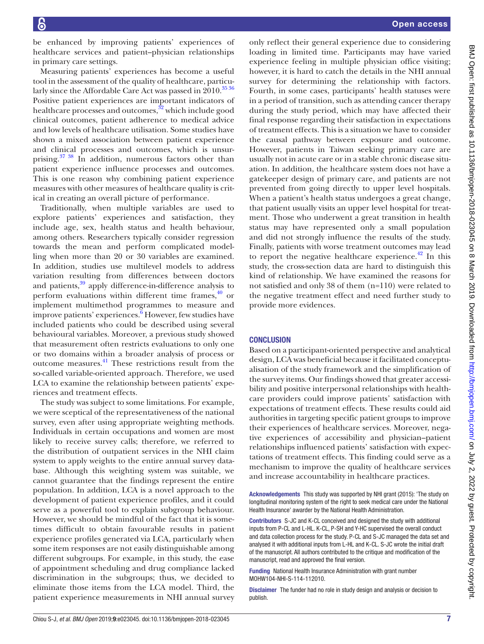be enhanced by improving patients' experiences of healthcare services and patient–physician relationships in primary care settings.

Measuring patients' experiences has become a useful tool in the assessment of the quality of healthcare, particularly since the Affordable Care Act was passed in 2010.<sup>3536</sup> Positive patient experiences are important indicators of healthcare processes and outcomes, $32$  which include good clinical outcomes, patient adherence to medical advice and low levels of healthcare utilisation. Some studies have shown a mixed association between patient experience and clinical processes and outcomes, which is unsurprising[.37 38](#page-7-24) In addition, numerous factors other than patient experience influence processes and outcomes. This is one reason why combining patient experience measures with other measures of healthcare quality is critical in creating an overall picture of performance.

Traditionally, when multiple variables are used to explore patients' experiences and satisfaction, they include age, sex, health status and health behaviour, among others. Researchers typically consider regression towards the mean and perform complicated modelling when more than 20 or 30 variables are examined. In addition, studies use multilevel models to address variation resulting from differences between doctors and patients,<sup>39</sup> apply difference-in-difference analysis to perform evaluations within different time frames,<sup>40</sup> or implement multimethod programmes to measure and improve patients' experiences.<sup>6</sup> However, few studies have included patients who could be described using several behavioural variables. Moreover, a previous study showed that measurement often restricts evaluations to only one or two domains within a broader analysis of process or outcome measures[.41](#page-7-27) These restrictions result from the so-called variable-oriented approach. Therefore, we used LCA to examine the relationship between patients' experiences and treatment effects.

The study was subject to some limitations. For example, we were sceptical of the representativeness of the national survey, even after using appropriate weighting methods. Individuals in certain occupations and women are most likely to receive survey calls; therefore, we referred to the distribution of outpatient services in the NHI claim system to apply weights to the entire annual survey database. Although this weighting system was suitable, we cannot guarantee that the findings represent the entire population. In addition, LCA is a novel approach to the development of patient experience profiles, and it could serve as a powerful tool to explain subgroup behaviour. However, we should be mindful of the fact that it is sometimes difficult to obtain favourable results in patient experience profiles generated via LCA, particularly when some item responses are not easily distinguishable among different subgroups. For example, in this study, the ease of appointment scheduling and drug compliance lacked discrimination in the subgroups; thus, we decided to eliminate those items from the LCA model. Third, the patient experience measurements in NHI annual survey

only reflect their general experience due to considering loading in limited time. Participants may have varied experience feeling in multiple physician office visiting; however, it is hard to catch the details in the NHI annual survey for determining the relationship with factors. Fourth, in some cases, participants' health statuses were in a period of transition, such as attending cancer therapy during the study period, which may have affected their final response regarding their satisfaction in expectations of treatment effects. This is a situation we have to consider the causal pathway between exposure and outcome. However, patients in Taiwan seeking primary care are usually not in acute care or in a stable chronic disease situation. In addition, the healthcare system does not have a gatekeeper design of primary care, and patients are not prevented from going directly to upper level hospitals. When a patient's health status undergoes a great change, that patient usually visits an upper level hospital for treatment. Those who underwent a great transition in health status may have represented only a small population and did not strongly influence the results of the study. Finally, patients with worse treatment outcomes may lead to report the negative healthcare experience. $42$  In this study, the cross-section data are hard to distinguish this kind of relationship. We have examined the reasons for not satisfied and only 38 of them (n=110) were related to the negative treatment effect and need further study to provide more evidences.

# **CONCLUSION**

Based on a participant-oriented perspective and analytical design, LCA was beneficial because it facilitated conceptualisation of the study framework and the simplification of the survey items. Our findings showed that greater accessibility and positive interpersonal relationships with healthcare providers could improve patients' satisfaction with expectations of treatment effects. These results could aid authorities in targeting specific patient groups to improve their experiences of healthcare services. Moreover, negative experiences of accessibility and physician–patient relationships influenced patients' satisfaction with expectations of treatment effects. This finding could serve as a mechanism to improve the quality of healthcare services and increase accountability in healthcare practices.

Acknowledgements This study was supported by NHI grant (2015): 'The study on longitudinal monitoring system of the right to seek medical care under the National Health Insurance' awarder by the National Health Administration.

Contributors S-JC and K-CL conceived and designed the study with additional inputs from P-CL and L-HL. K-CL, P-SH and Y-HC supervised the overall conduct and data collection process for the study. P-CL and S-JC managed the data set and analysed it with additional inputs from L-HL and K-CL. S-JC wrote the initial draft of the manuscript. All authors contributed to the critique and modification of the manuscript, read and approved the final version.

Funding National Health Insurance Administration with grant number MOHW104-NHI-S-114-112010.

Disclaimer The funder had no role in study design and analysis or decision to publish.